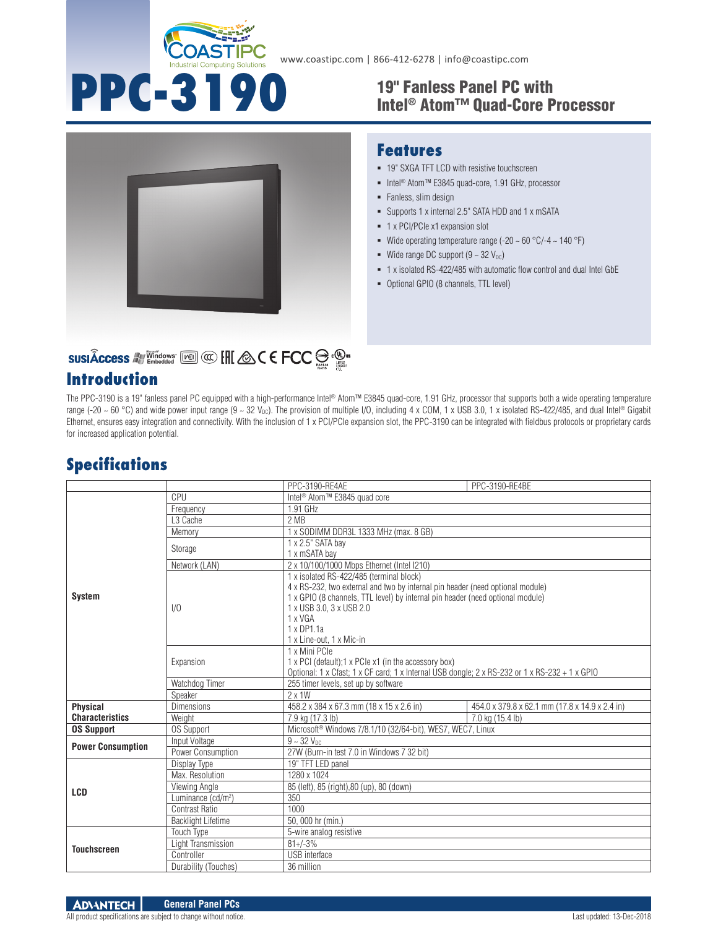

**PPC-3190** 

**Features**

• Fanless, slim design

**1** x PCI/PCIe x1 expansion slot

Wide range DC support  $(9 \sim 32 \text{ V}_{\text{DC}})$ 

Optional GPIO (8 channels, TTL level)

# 19" Fanless Panel PC with<br>Intel® Atom™ Quad-Core Processor

 19" SXGA TFT LCD with resistive touchscreen ■ Intel<sup>®</sup> Atom™ E3845 quad-core, 1.91 GHz, processor

Supports 1 x internal 2.5" SATA HDD and 1 x mSATA

Wide operating temperature range (-20  $\sim$  60 °C/-4  $\sim$  140 °F)

1 x isolated RS-422/485 with automatic flow control and dual Intel GbE



# SUSIÂCCESS A Vindows [20] @ [H] & C E FCC S . @ .

## **Introduction**

The PPC-3190 is a 19" fanless panel PC equipped with a high-performance Intel® Atom™ E3845 quad-core, 1.91 GHz, processor that supports both a wide operating temperature range (-20 ~ 60 °C) and wide power input range (9 ~ 32 V<sub>DC</sub>). The provision of multiple I/O, including 4 x COM, 1 x USB 3.0, 1 x isolated RS-422/485, and dual Intel® Gigabit Ethernet, ensures easy integration and connectivity. With the inclusion of 1 x PCI/PCIe expansion slot, the PPC-3190 can be integrated with fieldbus protocols or proprietary cards for increased application potential.

#### **Specifications**

|                          |                                | PPC-3190-RE4AE                                                                                 | PPC-3190-RE4BE                                 |
|--------------------------|--------------------------------|------------------------------------------------------------------------------------------------|------------------------------------------------|
|                          | CPU                            | Intel <sup>®</sup> Atom <sup>™</sup> E3845 quad core                                           |                                                |
|                          | Frequency                      | 1.91 GHz                                                                                       |                                                |
|                          | L <sub>3</sub> Cache           | 2 MB                                                                                           |                                                |
|                          | Memory                         | 1 x SODIMM DDR3L 1333 MHz (max. 8 GB)                                                          |                                                |
|                          | Storage                        | 1 x 2.5" SATA bay                                                                              |                                                |
|                          |                                | 1 x mSATA bay                                                                                  |                                                |
|                          | Network (LAN)                  | 2 x 10/100/1000 Mbps Ethernet (Intel I210)                                                     |                                                |
|                          | 1/0                            | 1 x isolated RS-422/485 (terminal block)                                                       |                                                |
|                          |                                | 4 x RS-232, two external and two by internal pin header (need optional module)                 |                                                |
| <b>System</b>            |                                | 1 x GPIO (8 channels, TTL level) by internal pin header (need optional module)                 |                                                |
|                          |                                | 1 x USB 3.0, 3 x USB 2.0                                                                       |                                                |
|                          |                                | 1 x VGA                                                                                        |                                                |
|                          |                                | 1 x DP1.1a                                                                                     |                                                |
|                          |                                | 1 x Line-out, 1 x Mic-in                                                                       |                                                |
|                          | Expansion                      | 1 x Mini PCle                                                                                  |                                                |
|                          |                                | 1 x PCI (default); 1 x PCIe x1 (in the accessory box)                                          |                                                |
|                          |                                | Optional: 1 x Cfast; 1 x CF card; 1 x Internal USB dongle; 2 x RS-232 or 1 x RS-232 + 1 x GPIO |                                                |
|                          | Watchdog Timer                 | 255 timer levels, set up by software                                                           |                                                |
|                          | Speaker                        | $2 \times 1W$                                                                                  |                                                |
| <b>Physical</b>          | <b>Dimensions</b>              | 458.2 x 384 x 67.3 mm (18 x 15 x 2.6 in)                                                       | 454.0 x 379.8 x 62.1 mm (17.8 x 14.9 x 2.4 in) |
| <b>Characteristics</b>   | Weight                         | 7.9 kg (17.3 lb)                                                                               | 7.0 kg (15.4 lb)                               |
| <b>OS Support</b>        | <b>OS Support</b>              | Microsoft <sup>®</sup> Windows 7/8.1/10 (32/64-bit), WES7, WEC7, Linux                         |                                                |
| <b>Power Consumption</b> | Input Voltage                  | $9 - 32 V_{DC}$                                                                                |                                                |
|                          | Power Consumption              | 27W (Burn-in test 7.0 in Windows 7 32 bit)                                                     |                                                |
|                          | Display Type                   | 19" TFT LED panel                                                                              |                                                |
|                          | Max. Resolution                | 1280 x 1024                                                                                    |                                                |
|                          | Viewing Angle                  | 85 (left), 85 (right), 80 (up), 80 (down)                                                      |                                                |
| <b>LCD</b>               | Luminance (cd/m <sup>2</sup> ) | 350                                                                                            |                                                |
|                          | Contrast Ratio                 | 1000                                                                                           |                                                |
|                          | <b>Backlight Lifetime</b>      | 50, 000 hr (min.)                                                                              |                                                |
| <b>Touchscreen</b>       | Touch Type                     | 5-wire analog resistive                                                                        |                                                |
|                          | Light Transmission             | $81 + (-3)$ %                                                                                  |                                                |
|                          | Controller                     | USB interface                                                                                  |                                                |
|                          | Durability (Touches)           | 36 million                                                                                     |                                                |